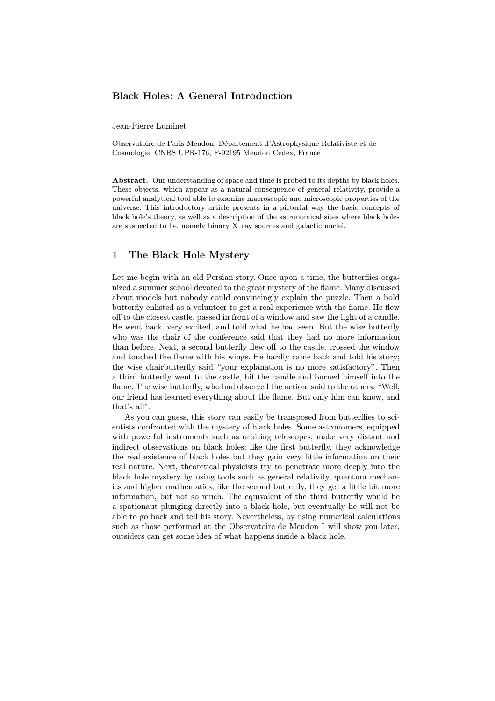# Black Holes: A General Introduction

Jean-Pierre Luminet

Observatoire de Paris-Meudon, D´epartement d'Astrophysique Relativiste et de Cosmologie, CNRS UPR-176, F-92195 Meudon Cedex, France

Abstract. Our understanding of space and time is probed to its depths by black holes. These objects, which appear as a natural consequence of general relativity, provide a powerful analytical tool able to examine macroscopic and microscopic properties of the universe. This introductory article presents in a pictorial way the basic concepts of black hole's theory, as well as a description of the astronomical sites where black holes are suspected to lie, namely binary X–ray sources and galactic nuclei.

## 1 The Black Hole Mystery

Let me begin with an old Persian story. Once upon a time, the butterflies organized a summer school devoted to the great mystery of the flame. Many discussed about models but nobody could convincingly explain the puzzle. Then a bold butterfly enlisted as a volunteer to get a real experience with the flame. He flew off to the closest castle, passed in front of a window and saw the light of a candle. He went back, very excited, and told what he had seen. But the wise butterfly who was the chair of the conference said that they had no more information than before. Next, a second butterfly flew off to the castle, crossed the window and touched the flame with his wings. He hardly came back and told his story; the wise chairbutterfly said "your explanation is no more satisfactory". Then a third butterfly went to the castle, hit the candle and burned himself into the flame. The wise butterfly, who had observed the action, said to the others: "Well, our friend has learned everything about the flame. But only him can know, and that's all".

As you can guess, this story can easily be transposed from butterflies to scientists confronted with the mystery of black holes. Some astronomers, equipped with powerful instruments such as orbiting telescopes, make very distant and indirect observations on black holes; like the first butterfly, they acknowledge the real existence of black holes but they gain very little information on their real nature. Next, theoretical physicists try to penetrate more deeply into the black hole mystery by using tools such as general relativity, quantum mechanics and higher mathematics; like the second butterfly, they get a little bit more information, but not so much. The equivalent of the third butterfly would be a spationaut plunging directly into a black hole, but eventually he will not be able to go back and tell his story. Nevertheless, by using numerical calculations such as those performed at the Observatoire de Meudon I will show you later, outsiders can get some idea of what happens inside a black hole.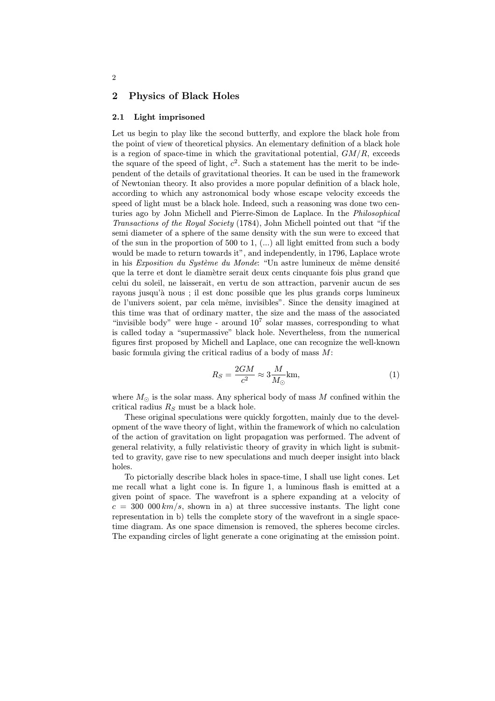## 2 Physics of Black Holes

### 2.1 Light imprisoned

Let us begin to play like the second butterfly, and explore the black hole from the point of view of theoretical physics. An elementary definition of a black hole is a region of space-time in which the gravitational potential,  $GM/R$ , exceeds the square of the speed of light,  $c^2$ . Such a statement has the merit to be independent of the details of gravitational theories. It can be used in the framework of Newtonian theory. It also provides a more popular definition of a black hole, according to which any astronomical body whose escape velocity exceeds the speed of light must be a black hole. Indeed, such a reasoning was done two centuries ago by John Michell and Pierre-Simon de Laplace. In the Philosophical Transactions of the Royal Society (1784), John Michell pointed out that "if the semi diameter of a sphere of the same density with the sun were to exceed that of the sun in the proportion of 500 to 1, (...) all light emitted from such a body would be made to return towards it", and independently, in 1796, Laplace wrote in his Exposition du Système du Monde: "Un astre lumineux de même densité que la terre et dont le diam`etre serait deux cents cinquante fois plus grand que celui du soleil, ne laisserait, en vertu de son attraction, parvenir aucun de ses rayons jusqu'à nous ; il est donc possible que les plus grands corps lumineux de l'univers soient, par cela même, invisibles". Since the density imagined at this time was that of ordinary matter, the size and the mass of the associated "invisible body" were huge - around  $10<sup>7</sup>$  solar masses, corresponding to what is called today a "supermassive" black hole. Nevertheless, from the numerical figures first proposed by Michell and Laplace, one can recognize the well-known basic formula giving the critical radius of a body of mass M:

$$
R_S = \frac{2GM}{c^2} \approx 3 \frac{M}{M_\odot} \text{km},\tag{1}
$$

where  $M_{\odot}$  is the solar mass. Any spherical body of mass M confined within the critical radius  $R<sub>S</sub>$  must be a black hole.

These original speculations were quickly forgotten, mainly due to the development of the wave theory of light, within the framework of which no calculation of the action of gravitation on light propagation was performed. The advent of general relativity, a fully relativistic theory of gravity in which light is submitted to gravity, gave rise to new speculations and much deeper insight into black holes.

To pictorially describe black holes in space-time, I shall use light cones. Let me recall what a light cone is. In figure 1, a luminous flash is emitted at a given point of space. The wavefront is a sphere expanding at a velocity of  $c = 300\,000\,km/s$ , shown in a) at three successive instants. The light cone representation in b) tells the complete story of the wavefront in a single spacetime diagram. As one space dimension is removed, the spheres become circles. The expanding circles of light generate a cone originating at the emission point.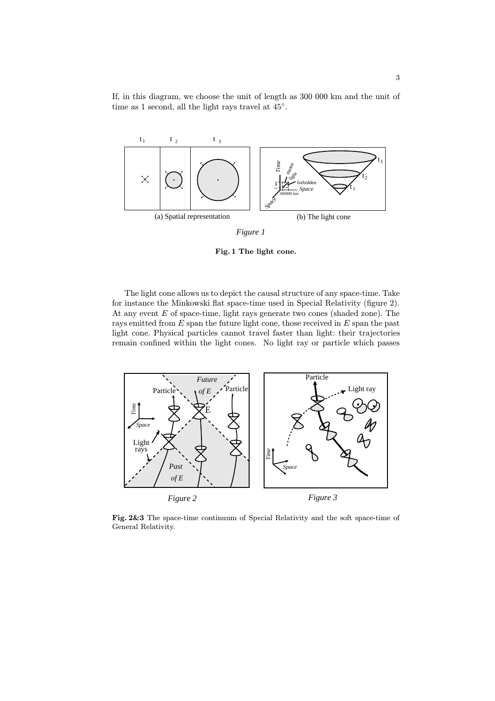If, in this diagram, we choose the unit of length as 300 000 km and the unit of time as 1 second, all the light rays travel at 45◦.



Fig. 1 The light cone.

The light cone allows us to depict the causal structure of any space-time. Take for instance the Minkowski flat space-time used in Special Relativity (figure 2). At any event  $E$  of space-time, light rays generate two cones (shaded zone). The rays emitted from  $E$  span the future light cone, those received in  $E$  span the past light cone. Physical particles cannot travel faster than light: their trajectories remain confined within the light cones. No light ray or particle which passes



Fig. 2&3 The space-time continuum of Special Relativity and the soft space-time of General Relativity.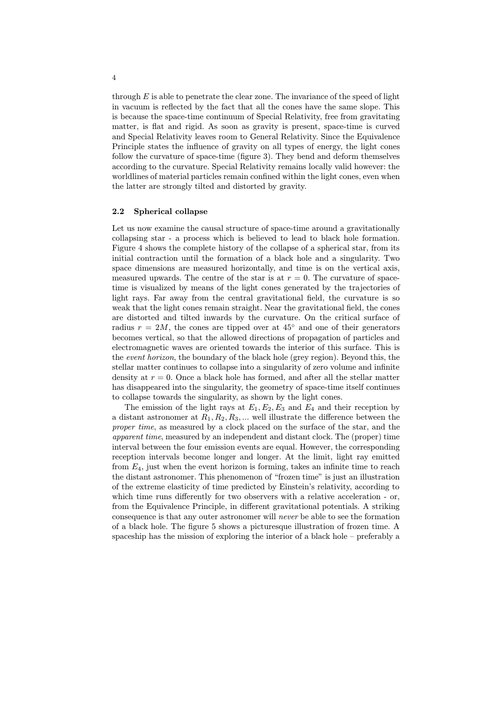through  $E$  is able to penetrate the clear zone. The invariance of the speed of light in vacuum is reflected by the fact that all the cones have the same slope. This is because the space-time continuum of Special Relativity, free from gravitating matter, is flat and rigid. As soon as gravity is present, space-time is curved and Special Relativity leaves room to General Relativity. Since the Equivalence Principle states the influence of gravity on all types of energy, the light cones follow the curvature of space-time (figure 3). They bend and deform themselves according to the curvature. Special Relativity remains locally valid however: the worldlines of material particles remain confined within the light cones, even when the latter are strongly tilted and distorted by gravity.

### 2.2 Spherical collapse

Let us now examine the causal structure of space-time around a gravitationally collapsing star - a process which is believed to lead to black hole formation. Figure 4 shows the complete history of the collapse of a spherical star, from its initial contraction until the formation of a black hole and a singularity. Two space dimensions are measured horizontally, and time is on the vertical axis, measured upwards. The centre of the star is at  $r = 0$ . The curvature of spacetime is visualized by means of the light cones generated by the trajectories of light rays. Far away from the central gravitational field, the curvature is so weak that the light cones remain straight. Near the gravitational field, the cones are distorted and tilted inwards by the curvature. On the critical surface of radius  $r = 2M$ , the cones are tipped over at 45<sup>°</sup> and one of their generators becomes vertical, so that the allowed directions of propagation of particles and electromagnetic waves are oriented towards the interior of this surface. This is the event horizon, the boundary of the black hole (grey region). Beyond this, the stellar matter continues to collapse into a singularity of zero volume and infinite density at  $r = 0$ . Once a black hole has formed, and after all the stellar matter has disappeared into the singularity, the geometry of space-time itself continues to collapse towards the singularity, as shown by the light cones.

The emission of the light rays at  $E_1, E_2, E_3$  and  $E_4$  and their reception by a distant astronomer at  $R_1, R_2, R_3, \dots$  well illustrate the difference between the proper time, as measured by a clock placed on the surface of the star, and the apparent time, measured by an independent and distant clock. The (proper) time interval between the four emission events are equal. However, the corresponding reception intervals become longer and longer. At the limit, light ray emitted from  $E_4$ , just when the event horizon is forming, takes an infinite time to reach the distant astronomer. This phenomenon of "frozen time" is just an illustration of the extreme elasticity of time predicted by Einstein's relativity, according to which time runs differently for two observers with a relative acceleration - or, from the Equivalence Principle, in different gravitational potentials. A striking consequence is that any outer astronomer will never be able to see the formation of a black hole. The figure 5 shows a picturesque illustration of frozen time. A spaceship has the mission of exploring the interior of a black hole – preferably a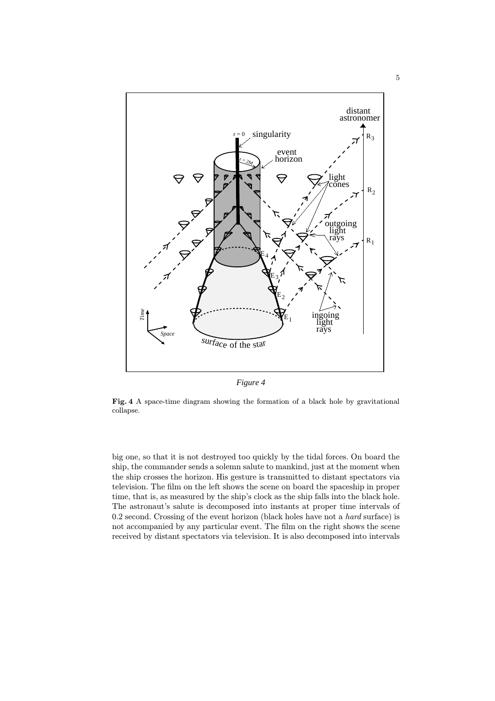

*Figure 4* 

Fig. 4 A space-time diagram showing the formation of a black hole by gravitational collapse.

big one, so that it is not destroyed too quickly by the tidal forces. On board the ship, the commander sends a solemn salute to mankind, just at the moment when the ship crosses the horizon. His gesture is transmitted to distant spectators via television. The film on the left shows the scene on board the spaceship in proper time, that is, as measured by the ship's clock as the ship falls into the black hole. The astronaut's salute is decomposed into instants at proper time intervals of 0.2 second. Crossing of the event horizon (black holes have not a hard surface) is not accompanied by any particular event. The film on the right shows the scene received by distant spectators via television. It is also decomposed into intervals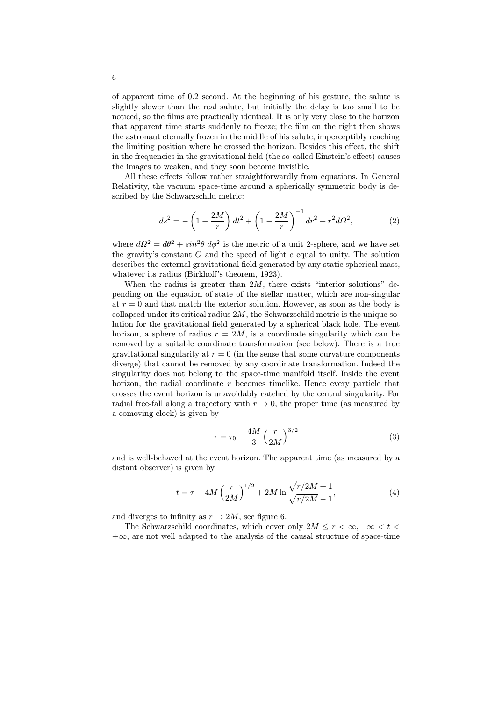of apparent time of 0.2 second. At the beginning of his gesture, the salute is slightly slower than the real salute, but initially the delay is too small to be noticed, so the films are practically identical. It is only very close to the horizon that apparent time starts suddenly to freeze; the film on the right then shows the astronaut eternally frozen in the middle of his salute, imperceptibly reaching the limiting position where he crossed the horizon. Besides this effect, the shift in the frequencies in the gravitational field (the so-called Einstein's effect) causes the images to weaken, and they soon become invisible.

All these effects follow rather straightforwardly from equations. In General Relativity, the vacuum space-time around a spherically symmetric body is described by the Schwarzschild metric:

$$
ds^{2} = -\left(1 - \frac{2M}{r}\right)dt^{2} + \left(1 - \frac{2M}{r}\right)^{-1}dr^{2} + r^{2}d\Omega^{2},\tag{2}
$$

where  $d\Omega^2 = d\theta^2 + \sin^2\theta \ d\phi^2$  is the metric of a unit 2-sphere, and we have set the gravity's constant  $G$  and the speed of light  $c$  equal to unity. The solution describes the external gravitational field generated by any static spherical mass, whatever its radius (Birkhoff's theorem, 1923).

When the radius is greater than  $2M$ , there exists "interior solutions" depending on the equation of state of the stellar matter, which are non-singular at  $r = 0$  and that match the exterior solution. However, as soon as the body is collapsed under its critical radius  $2M$ , the Schwarzschild metric is the unique solution for the gravitational field generated by a spherical black hole. The event horizon, a sphere of radius  $r = 2M$ , is a coordinate singularity which can be removed by a suitable coordinate transformation (see below). There is a true gravitational singularity at  $r = 0$  (in the sense that some curvature components diverge) that cannot be removed by any coordinate transformation. Indeed the singularity does not belong to the space-time manifold itself. Inside the event horizon, the radial coordinate  $r$  becomes timelike. Hence every particle that crosses the event horizon is unavoidably catched by the central singularity. For radial free-fall along a trajectory with  $r \to 0$ , the proper time (as measured by a comoving clock) is given by

$$
\tau = \tau_0 - \frac{4M}{3} \left(\frac{r}{2M}\right)^{3/2} \tag{3}
$$

and is well-behaved at the event horizon. The apparent time (as measured by a distant observer) is given by

$$
t = \tau - 4M \left(\frac{r}{2M}\right)^{1/2} + 2M \ln \frac{\sqrt{r/2M} + 1}{\sqrt{r/2M} - 1},\tag{4}
$$

and diverges to infinity as  $r \to 2M$ , see figure 6.

The Schwarzschild coordinates, which cover only  $2M \leq r < \infty, -\infty < t <$  $+\infty$ , are not well adapted to the analysis of the causal structure of space-time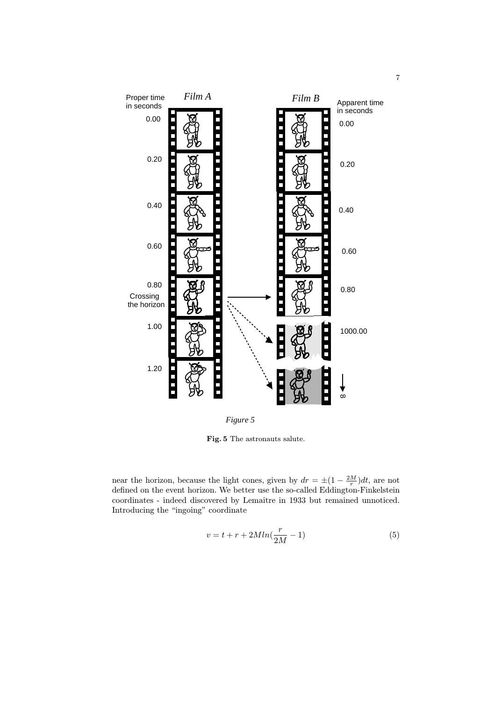

Fig. 5 The astronauts salute.

near the horizon, because the light cones, given by  $dr = \pm (1 - \frac{2M}{r})dt$ , are not defined on the event horizon. We better use the so-called Eddington-Finkelstein coordinates - indeed discovered by Lemaître in 1933 but remained unnoticed. Introducing the "ingoing" coordinate

$$
v = t + r + 2Mln(\frac{r}{2M} - 1) \tag{5}
$$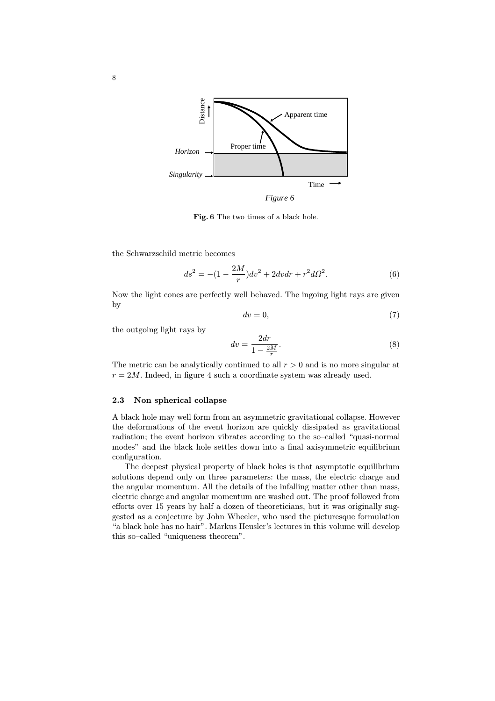

Fig. 6 The two times of a black hole.

the Schwarzschild metric becomes

$$
ds^{2} = -(1 - \frac{2M}{r})dv^{2} + 2dvdr + r^{2}d\Omega^{2}.
$$
 (6)

Now the light cones are perfectly well behaved. The ingoing light rays are given by

$$
dv = 0,\t\t(7)
$$

the outgoing light rays by

$$
dv = \frac{2dr}{1 - \frac{2M}{r}}.\tag{8}
$$

The metric can be analytically continued to all  $r > 0$  and is no more singular at  $r = 2M$ . Indeed, in figure 4 such a coordinate system was already used.

## 2.3 Non spherical collapse

A black hole may well form from an asymmetric gravitational collapse. However the deformations of the event horizon are quickly dissipated as gravitational radiation; the event horizon vibrates according to the so–called "quasi-normal modes" and the black hole settles down into a final axisymmetric equilibrium configuration.

The deepest physical property of black holes is that asymptotic equilibrium solutions depend only on three parameters: the mass, the electric charge and the angular momentum. All the details of the infalling matter other than mass, electric charge and angular momentum are washed out. The proof followed from efforts over 15 years by half a dozen of theoreticians, but it was originally suggested as a conjecture by John Wheeler, who used the picturesque formulation "a black hole has no hair". Markus Heusler's lectures in this volume will develop this so–called "uniqueness theorem".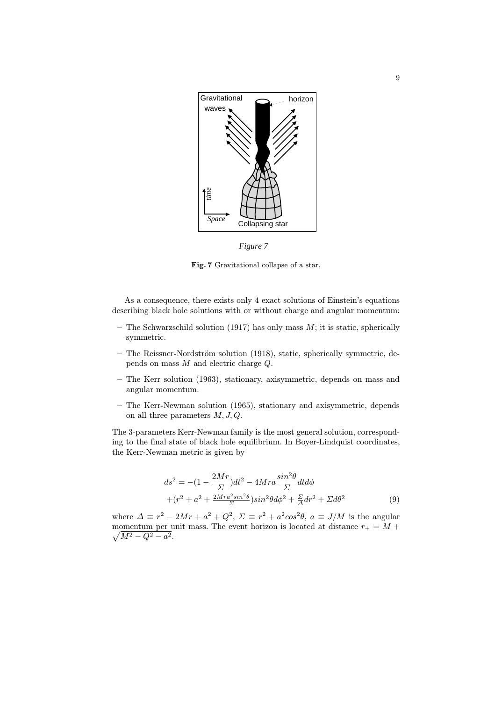

*Figure 7* 

Fig. 7 Gravitational collapse of a star.

As a consequence, there exists only 4 exact solutions of Einstein's equations describing black hole solutions with or without charge and angular momentum:

- The Schwarzschild solution (1917) has only mass  $M$ ; it is static, spherically symmetric.
- The Reissner-Nordström solution (1918), static, spherically symmetric, depends on mass M and electric charge Q.
- The Kerr solution (1963), stationary, axisymmetric, depends on mass and angular momentum.
- The Kerr-Newman solution (1965), stationary and axisymmetric, depends on all three parameters  $M, J, Q$ .

The 3-parameters Kerr-Newman family is the most general solution, corresponding to the final state of black hole equilibrium. In Boyer-Lindquist coordinates, the Kerr-Newman metric is given by

$$
ds^{2} = -(1 - \frac{2Mr}{\Sigma})dt^{2} - 4Mra\frac{\sin^{2}\theta}{\Sigma}dt d\phi
$$

$$
+(r^{2} + a^{2} + \frac{2Mra^{2}\sin^{2}\theta}{\Sigma})\sin^{2}\theta d\phi^{2} + \frac{\Sigma}{\Delta}dr^{2} + \Sigma d\theta^{2}
$$
(9)

where  $\Delta \equiv r^2 - 2Mr + a^2 + Q^2$ ,  $\Sigma \equiv r^2 + a^2 \cos^2 \theta$ ,  $a \equiv J/M$  is the angular  $\sqrt{ }$ momentum per unit mass. The event horizon is located at distance  $r_+ = M +$  $M^2 - Q^2 - a^2$ .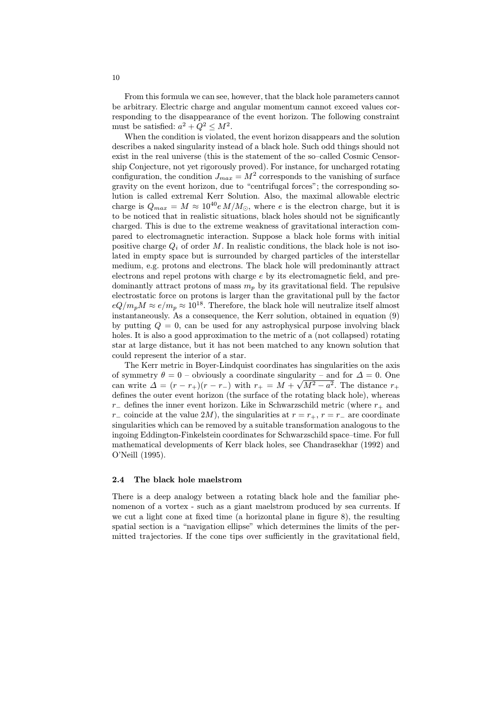From this formula we can see, however, that the black hole parameters cannot be arbitrary. Electric charge and angular momentum cannot exceed values corresponding to the disappearance of the event horizon. The following constraint must be satisfied:  $a^2 + Q^2 \leq M^2$ .

When the condition is violated, the event horizon disappears and the solution describes a naked singularity instead of a black hole. Such odd things should not exist in the real universe (this is the statement of the so–called Cosmic Censorship Conjecture, not yet rigorously proved). For instance, for uncharged rotating configuration, the condition  $J_{max} = M^2$  corresponds to the vanishing of surface gravity on the event horizon, due to "centrifugal forces"; the corresponding solution is called extremal Kerr Solution. Also, the maximal allowable electric charge is  $Q_{max} = M \approx 10^{40} e M/M_{\odot}$ , where e is the electron charge, but it is to be noticed that in realistic situations, black holes should not be significantly charged. This is due to the extreme weakness of gravitational interaction compared to electromagnetic interaction. Suppose a black hole forms with initial positive charge  $Q_i$  of order M. In realistic conditions, the black hole is not isolated in empty space but is surrounded by charged particles of the interstellar medium, e.g. protons and electrons. The black hole will predominantly attract electrons and repel protons with charge e by its electromagnetic field, and predominantly attract protons of mass  $m_p$  by its gravitational field. The repulsive electrostatic force on protons is larger than the gravitational pull by the factor  $eQ/m_pM \approx e/m_p \approx 10^{18}$ . Therefore, the black hole will neutralize itself almost instantaneously. As a consequence, the Kerr solution, obtained in equation (9) by putting  $Q = 0$ , can be used for any astrophysical purpose involving black holes. It is also a good approximation to the metric of a (not collapsed) rotating star at large distance, but it has not been matched to any known solution that could represent the interior of a star.

The Kerr metric in Boyer-Lindquist coordinates has singularities on the axis of symmetry  $\theta = 0$  – obviously a coordinate singularity – and for  $\Delta = 0$ . One can write  $\Delta = (r - r_+)(r - r_-)$  with  $r_+ = M + \sqrt{M^2 - a^2}$ . The distance  $r_+$ defines the outer event horizon (the surface of the rotating black hole), whereas r<sub>−</sub> defines the inner event horizon. Like in Schwarzschild metric (where  $r_+$  and r− coincide at the value 2M), the singularities at  $r = r_+, r = r_-\text{ are coordinate}$ singularities which can be removed by a suitable transformation analogous to the ingoing Eddington-Finkelstein coordinates for Schwarzschild space–time. For full mathematical developments of Kerr black holes, see Chandrasekhar (1992) and O'Neill (1995).

## 2.4 The black hole maelstrom

There is a deep analogy between a rotating black hole and the familiar phenomenon of a vortex - such as a giant maelstrom produced by sea currents. If we cut a light cone at fixed time (a horizontal plane in figure 8), the resulting spatial section is a "navigation ellipse" which determines the limits of the permitted trajectories. If the cone tips over sufficiently in the gravitational field,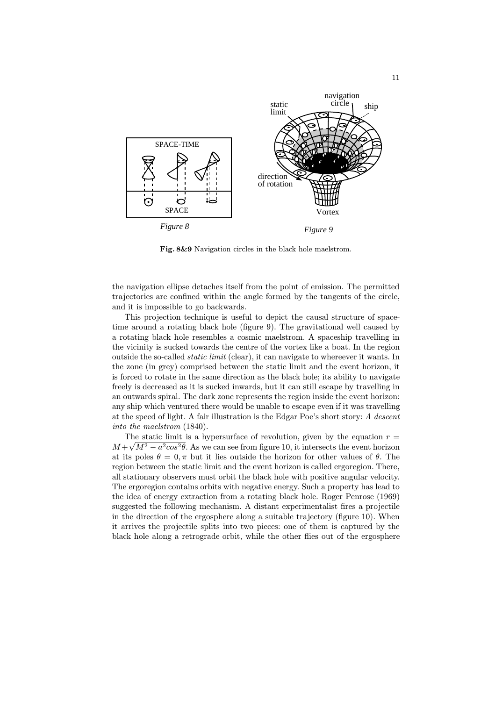

Fig. 8&9 Navigation circles in the black hole maelstrom.

the navigation ellipse detaches itself from the point of emission. The permitted trajectories are confined within the angle formed by the tangents of the circle, and it is impossible to go backwards.

This projection technique is useful to depict the causal structure of spacetime around a rotating black hole (figure 9). The gravitational well caused by a rotating black hole resembles a cosmic maelstrom. A spaceship travelling in the vicinity is sucked towards the centre of the vortex like a boat. In the region outside the so-called static limit (clear), it can navigate to whereever it wants. In the zone (in grey) comprised between the static limit and the event horizon, it is forced to rotate in the same direction as the black hole; its ability to navigate freely is decreased as it is sucked inwards, but it can still escape by travelling in an outwards spiral. The dark zone represents the region inside the event horizon: any ship which ventured there would be unable to escape even if it was travelling at the speed of light. A fair illustration is the Edgar Poe's short story: A descent into the maelstrom (1840).

The static limit is a hypersurface of revolution, given by the equation  $r =$  $M + \sqrt{M^2 - a^2 \cos^2 \theta}$ . As we can see from figure 10, it intersects the event horizon at its poles  $\theta = 0, \pi$  but it lies outside the horizon for other values of  $\theta$ . The region between the static limit and the event horizon is called ergoregion. There, all stationary observers must orbit the black hole with positive angular velocity. The ergoregion contains orbits with negative energy. Such a property has lead to the idea of energy extraction from a rotating black hole. Roger Penrose (1969) suggested the following mechanism. A distant experimentalist fires a projectile in the direction of the ergosphere along a suitable trajectory (figure 10). When it arrives the projectile splits into two pieces: one of them is captured by the black hole along a retrograde orbit, while the other flies out of the ergosphere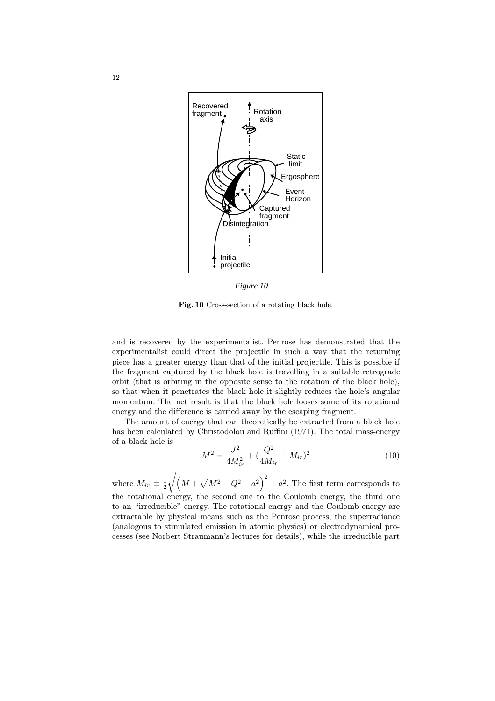

*Figure 10* 

Fig. 10 Cross-section of a rotating black hole.

and is recovered by the experimentalist. Penrose has demonstrated that the experimentalist could direct the projectile in such a way that the returning piece has a greater energy than that of the initial projectile. This is possible if the fragment captured by the black hole is travelling in a suitable retrograde orbit (that is orbiting in the opposite sense to the rotation of the black hole), so that when it penetrates the black hole it slightly reduces the hole's angular momentum. The net result is that the black hole looses some of its rotational energy and the difference is carried away by the escaping fragment.

The amount of energy that can theoretically be extracted from a black hole has been calculated by Christodolou and Ruffini (1971). The total mass-energy of a black hole is

$$
M^{2} = \frac{J^{2}}{4M_{ir}^{2}} + \left(\frac{Q^{2}}{4M_{ir}} + M_{ir}\right)^{2}
$$
 (10)

where  $M_{ir} \equiv \frac{1}{2}$  $\sqrt{(M + \sqrt{M^2 - Q^2 - a^2})^2 + a^2}$ . The first term corresponds to the rotational energy, the second one to the Coulomb energy, the third one to an "irreducible" energy. The rotational energy and the Coulomb energy are extractable by physical means such as the Penrose process, the superradiance (analogous to stimulated emission in atomic physics) or electrodynamical processes (see Norbert Straumann's lectures for details), while the irreducible part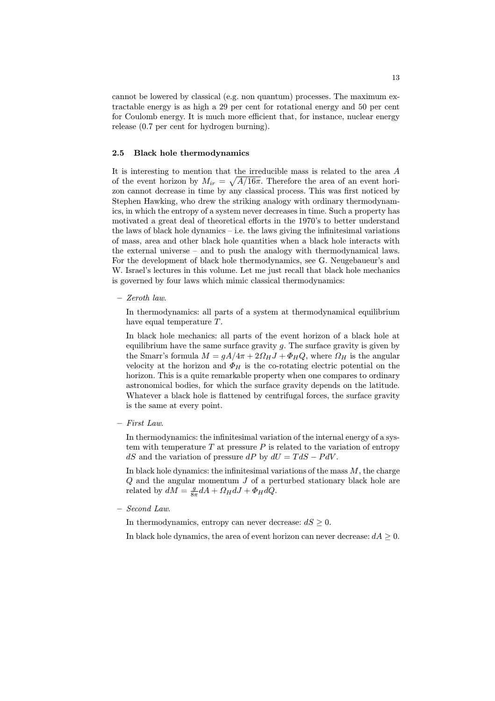cannot be lowered by classical (e.g. non quantum) processes. The maximum extractable energy is as high a 29 per cent for rotational energy and 50 per cent for Coulomb energy. It is much more efficient that, for instance, nuclear energy release (0.7 per cent for hydrogen burning).

### 2.5 Black hole thermodynamics

It is interesting to mention that the irreducible mass is related to the area A of the event horizon by  $M_{ir} = \sqrt{A/16\pi}$ . Therefore the area of an event horizon cannot decrease in time by any classical process. This was first noticed by Stephen Hawking, who drew the striking analogy with ordinary thermodynamics, in which the entropy of a system never decreases in time. Such a property has motivated a great deal of theoretical efforts in the 1970's to better understand the laws of black hole dynamics  $-$  i.e. the laws giving the infinitesimal variations of mass, area and other black hole quantities when a black hole interacts with the external universe – and to push the analogy with thermodynamical laws. For the development of black hole thermodynamics, see G. Neugebaueur's and W. Israel's lectures in this volume. Let me just recall that black hole mechanics is governed by four laws which mimic classical thermodynamics:

– Zeroth law.

In thermodynamics: all parts of a system at thermodynamical equilibrium have equal temperature T.

In black hole mechanics: all parts of the event horizon of a black hole at equilibrium have the same surface gravity  $g$ . The surface gravity is given by the Smarr's formula  $M = gA/4\pi + 2\Omega_HJ + \Phi_HQ$ , where  $\Omega_H$  is the angular velocity at the horizon and  $\Phi_H$  is the co-rotating electric potential on the horizon. This is a quite remarkable property when one compares to ordinary astronomical bodies, for which the surface gravity depends on the latitude. Whatever a black hole is flattened by centrifugal forces, the surface gravity is the same at every point.

– First Law.

In thermodynamics: the infinitesimal variation of the internal energy of a system with temperature  $T$  at pressure  $P$  is related to the variation of entropy dS and the variation of pressure dP by  $dU = T dS - P dV$ .

In black hole dynamics: the infinitesimal variations of the mass  $M$ , the charge Q and the angular momentum J of a perturbed stationary black hole are related by  $dM = \frac{g}{8\pi}dA + \Omega_H dJ + \Phi_H dQ$ .

– Second Law.

In thermodynamics, entropy can never decrease:  $dS \geq 0$ .

In black hole dynamics, the area of event horizon can never decrease:  $dA \geq 0$ .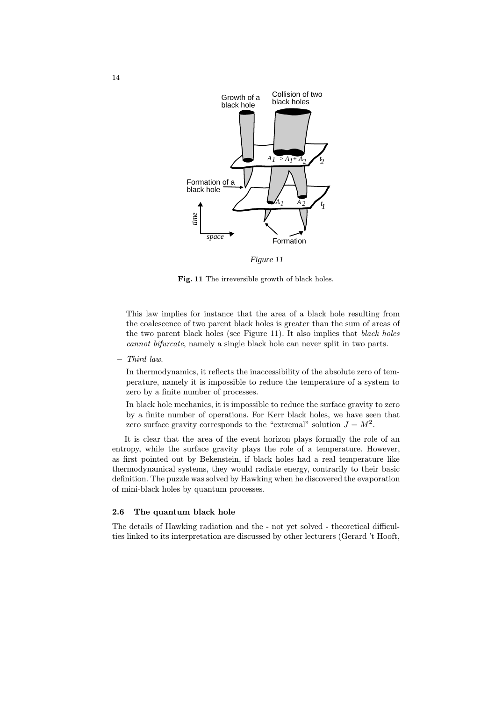

*Figure 11* 

Fig. 11 The irreversible growth of black holes.

This law implies for instance that the area of a black hole resulting from the coalescence of two parent black holes is greater than the sum of areas of the two parent black holes (see Figure 11). It also implies that black holes cannot bifurcate, namely a single black hole can never split in two parts.

– Third law.

In thermodynamics, it reflects the inaccessibility of the absolute zero of temperature, namely it is impossible to reduce the temperature of a system to zero by a finite number of processes.

In black hole mechanics, it is impossible to reduce the surface gravity to zero by a finite number of operations. For Kerr black holes, we have seen that zero surface gravity corresponds to the "extremal" solution  $J = M^2$ .

It is clear that the area of the event horizon plays formally the role of an entropy, while the surface gravity plays the role of a temperature. However, as first pointed out by Bekenstein, if black holes had a real temperature like thermodynamical systems, they would radiate energy, contrarily to their basic definition. The puzzle was solved by Hawking when he discovered the evaporation of mini-black holes by quantum processes.

### 2.6 The quantum black hole

The details of Hawking radiation and the - not yet solved - theoretical difficulties linked to its interpretation are discussed by other lecturers (Gerard 't Hooft,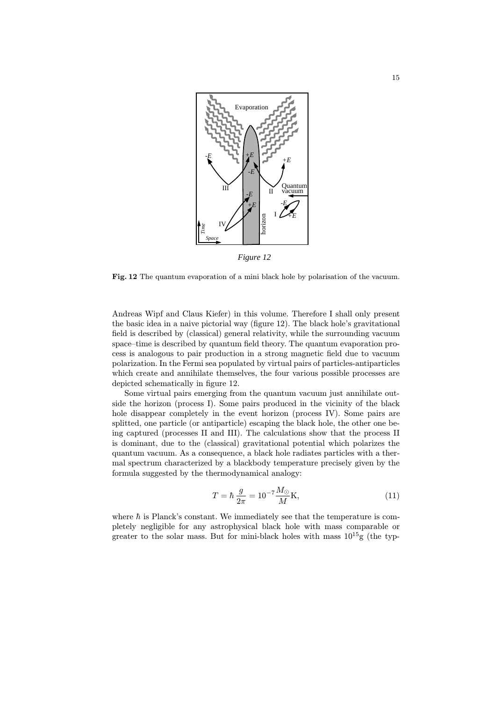

*Figure 12* 

Fig. 12 The quantum evaporation of a mini black hole by polarisation of the vacuum.

Andreas Wipf and Claus Kiefer) in this volume. Therefore I shall only present the basic idea in a naive pictorial way (figure 12). The black hole's gravitational field is described by (classical) general relativity, while the surrounding vacuum space–time is described by quantum field theory. The quantum evaporation process is analogous to pair production in a strong magnetic field due to vacuum polarization. In the Fermi sea populated by virtual pairs of particles-antiparticles which create and annihilate themselves, the four various possible processes are depicted schematically in figure 12.

Some virtual pairs emerging from the quantum vacuum just annihilate outside the horizon (process I). Some pairs produced in the vicinity of the black hole disappear completely in the event horizon (process IV). Some pairs are splitted, one particle (or antiparticle) escaping the black hole, the other one being captured (processes II and III). The calculations show that the process II is dominant, due to the (classical) gravitational potential which polarizes the quantum vacuum. As a consequence, a black hole radiates particles with a thermal spectrum characterized by a blackbody temperature precisely given by the formula suggested by the thermodynamical analogy:

$$
T = \hbar \frac{g}{2\pi} = 10^{-7} \frac{M_{\odot}}{M} \text{K},\tag{11}
$$

where  $\hbar$  is Planck's constant. We immediately see that the temperature is completely negligible for any astrophysical black hole with mass comparable or greater to the solar mass. But for mini-black holes with mass  $10^{15}$ g (the typ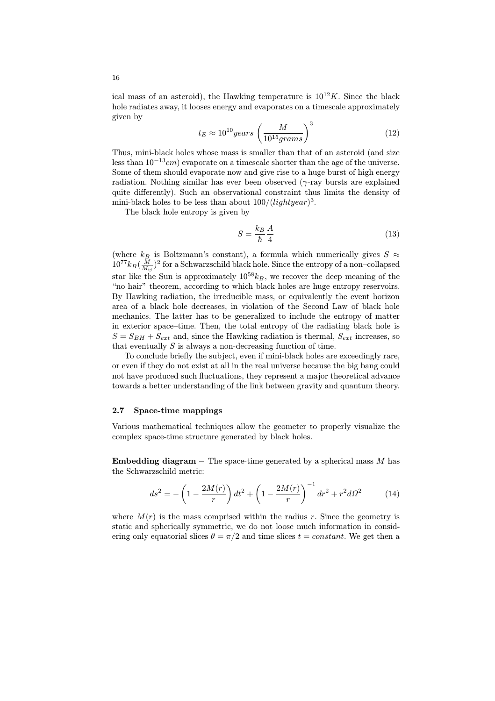ical mass of an asteroid), the Hawking temperature is  $10^{12}K$ . Since the black hole radiates away, it looses energy and evaporates on a timescale approximately given by

$$
t_E \approx 10^{10} years \left(\frac{M}{10^{15} grams}\right)^3 \tag{12}
$$

Thus, mini-black holes whose mass is smaller than that of an asteroid (and size less than  $10^{-13}$ cm) evaporate on a timescale shorter than the age of the universe. Some of them should evaporate now and give rise to a huge burst of high energy radiation. Nothing similar has ever been observed  $(\gamma$ -ray bursts are explained quite differently). Such an observational constraint thus limits the density of mini-black holes to be less than about  $100/(light year)^3$ .

The black hole entropy is given by

$$
S = \frac{k_B}{\hbar} \frac{A}{4} \tag{13}
$$

(where  $k_B$  is Boltzmann's constant), a formula which numerically gives  $S \approx$  $10^{77} k_B (\frac{M}{M_{\odot}})^2$  for a Schwarzschild black hole. Since the entropy of a non–collapsed star like the Sun is approximately  $10^{58}k_B$ , we recover the deep meaning of the "no hair" theorem, according to which black holes are huge entropy reservoirs. By Hawking radiation, the irreducible mass, or equivalently the event horizon area of a black hole decreases, in violation of the Second Law of black hole mechanics. The latter has to be generalized to include the entropy of matter in exterior space–time. Then, the total entropy of the radiating black hole is  $S = S_{BH} + S_{ext}$  and, since the Hawking radiation is thermal,  $S_{ext}$  increases, so that eventually  $S$  is always a non-decreasing function of time.

To conclude briefly the subject, even if mini-black holes are exceedingly rare, or even if they do not exist at all in the real universe because the big bang could not have produced such fluctuations, they represent a major theoretical advance towards a better understanding of the link between gravity and quantum theory.

#### 2.7 Space-time mappings

Various mathematical techniques allow the geometer to properly visualize the complex space-time structure generated by black holes.

**Embedding diagram** – The space-time generated by a spherical mass  $M$  has the Schwarzschild metric:

$$
ds^{2} = -\left(1 - \frac{2M(r)}{r}\right)dt^{2} + \left(1 - \frac{2M(r)}{r}\right)^{-1}dr^{2} + r^{2}d\Omega^{2}
$$
 (14)

where  $M(r)$  is the mass comprised within the radius r. Since the geometry is static and spherically symmetric, we do not loose much information in considering only equatorial slices  $\theta = \pi/2$  and time slices  $t = constant$ . We get then a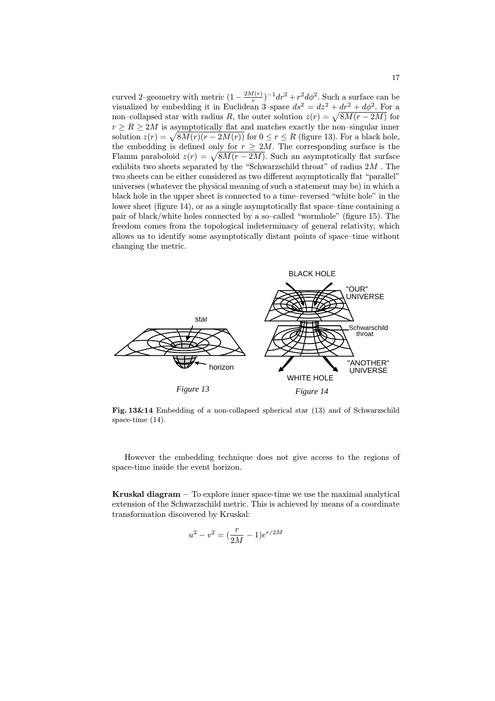curved 2–geometry with metric  $\left(1-\frac{2M(r)}{r}\right)^{-1}dr^2 + r^2d\phi^2$ . Such a surface can be visualized by embedding it in Euclidean 3–space  $ds^2 = dz^2 + dr^2 + d\phi^2$ . For a non–collapsed star with radius R, the outer solution  $z(r) = \sqrt{8M(r - 2M)}$  for  $r \geq R \geq 2M$  is asymptotically flat and matches exactly the non-singular inner solution  $z(r) = \sqrt{8M(r)(r - 2M(r))}$  for  $0 \le r \le R$  (figure 13). For a black hole, the embedding is defined only for  $r \geq 2M$ . The corresponding surface is the Flamm paraboloid  $z(r) = \sqrt{8M(r - 2M)}$ . Such an asymptotically flat surface exhibits two sheets separated by the "Schwarzschild throat" of radius  $2M$  . The two sheets can be either considered as two different asymptotically flat "parallel" universes (whatever the physical meaning of such a statement may be) in which a black hole in the upper sheet is connected to a time–reversed "white hole" in the lower sheet (figure 14), or as a single asymptotically flat space–time containing a pair of black/white holes connected by a so–called "wormhole" (figure 15). The freedom comes from the topological indeterminacy of general relativity, which allows us to identify some asymptotically distant points of space–time without changing the metric.



Fig. 13&14 Embedding of a non-collapsed spherical star (13) and of Schwarzschild space-time  $(14)$ .

However the embedding technique does not give access to the regions of space-time inside the event horizon.

Kruskal diagram  $-$  To explore inner space-time we use the maximal analytical extension of the Schwarzschild metric. This is achieved by means of a coordinate transformation discovered by Kruskal:

$$
u^2 - v^2 = \left(\frac{r}{2M} - 1\right)e^{r/2M}
$$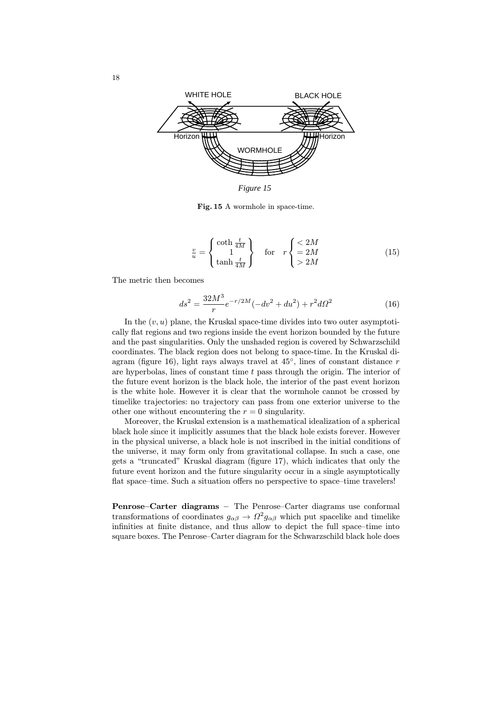

Fig. 15 A wormhole in space-time.

$$
\frac{v}{u} = \begin{cases} \coth \frac{t}{4M} \\ 1 \\ \tanh \frac{t}{4M} \end{cases} \quad \text{for} \quad r \begin{cases} < 2M \\ = 2M \\ > 2M \end{cases} \tag{15}
$$

The metric then becomes

$$
ds^{2} = \frac{32M^{3}}{r}e^{-r/2M}(-dv^{2} + du^{2}) + r^{2}d\Omega^{2}
$$
\n(16)

In the  $(v, u)$  plane, the Kruskal space-time divides into two outer asymptotically flat regions and two regions inside the event horizon bounded by the future and the past singularities. Only the unshaded region is covered by Schwarzschild coordinates. The black region does not belong to space-time. In the Kruskal diagram (figure 16), light rays always travel at  $45^\circ$ , lines of constant distance r are hyperbolas, lines of constant time  $t$  pass through the origin. The interior of the future event horizon is the black hole, the interior of the past event horizon is the white hole. However it is clear that the wormhole cannot be crossed by timelike trajectories: no trajectory can pass from one exterior universe to the other one without encountering the  $r = 0$  singularity.

Moreover, the Kruskal extension is a mathematical idealization of a spherical black hole since it implicitly assumes that the black hole exists forever. However in the physical universe, a black hole is not inscribed in the initial conditions of the universe, it may form only from gravitational collapse. In such a case, one gets a "truncated" Kruskal diagram (figure 17), which indicates that only the future event horizon and the future singularity occur in a single asymptotically flat space–time. Such a situation offers no perspective to space–time travelers!

Penrose–Carter diagrams – The Penrose–Carter diagrams use conformal transformations of coordinates  $g_{\alpha\beta} \to \Omega^2 g_{\alpha\beta}$  which put spacelike and timelike infinities at finite distance, and thus allow to depict the full space–time into square boxes. The Penrose–Carter diagram for the Schwarzschild black hole does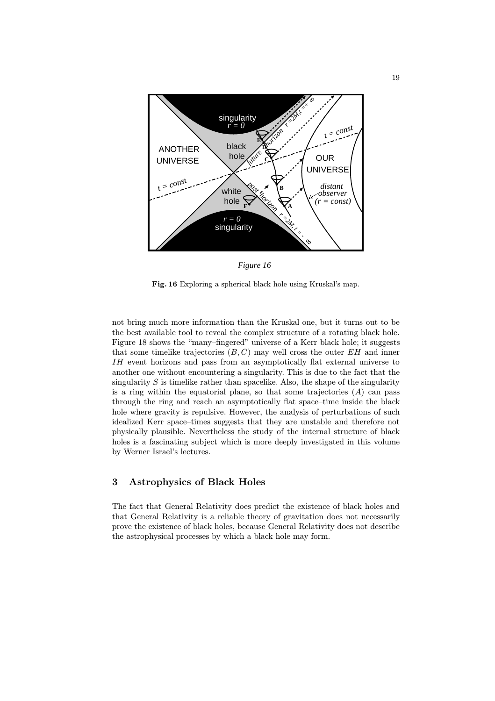

*Figure 16* 

Fig. 16 Exploring a spherical black hole using Kruskal's map.

not bring much more information than the Kruskal one, but it turns out to be the best available tool to reveal the complex structure of a rotating black hole. Figure 18 shows the "many–fingered" universe of a Kerr black hole; it suggests that some timelike trajectories  $(B, C)$  may well cross the outer  $EH$  and inner IH event horizons and pass from an asymptotically flat external universe to another one without encountering a singularity. This is due to the fact that the singularity  $S$  is timelike rather than spacelike. Also, the shape of the singularity is a ring within the equatorial plane, so that some trajectories  $(A)$  can pass through the ring and reach an asymptotically flat space–time inside the black hole where gravity is repulsive. However, the analysis of perturbations of such idealized Kerr space–times suggests that they are unstable and therefore not physically plausible. Nevertheless the study of the internal structure of black holes is a fascinating subject which is more deeply investigated in this volume by Werner Israel's lectures.

## 3 Astrophysics of Black Holes

The fact that General Relativity does predict the existence of black holes and that General Relativity is a reliable theory of gravitation does not necessarily prove the existence of black holes, because General Relativity does not describe the astrophysical processes by which a black hole may form.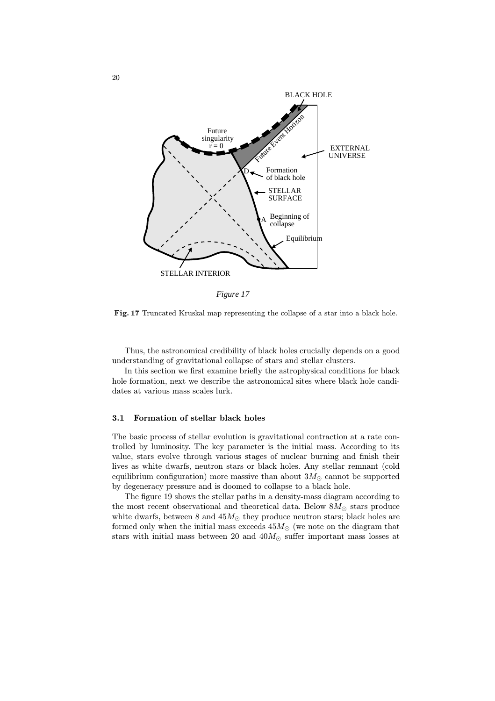

*Figure 17* 

Fig. 17 Truncated Kruskal map representing the collapse of a star into a black hole.

Thus, the astronomical credibility of black holes crucially depends on a good understanding of gravitational collapse of stars and stellar clusters.

In this section we first examine briefly the astrophysical conditions for black hole formation, next we describe the astronomical sites where black hole candidates at various mass scales lurk.

## 3.1 Formation of stellar black holes

The basic process of stellar evolution is gravitational contraction at a rate controlled by luminosity. The key parameter is the initial mass. According to its value, stars evolve through various stages of nuclear burning and finish their lives as white dwarfs, neutron stars or black holes. Any stellar remnant (cold equilibrium configuration) more massive than about  $3M_{\odot}$  cannot be supported by degeneracy pressure and is doomed to collapse to a black hole.

The figure 19 shows the stellar paths in a density-mass diagram according to the most recent observational and theoretical data. Below  $8M_{\odot}$  stars produce white dwarfs, between 8 and  $45M_{\odot}$  they produce neutron stars; black holes are formed only when the initial mass exceeds  $45M_{\odot}$  (we note on the diagram that stars with initial mass between 20 and  $40M_{\odot}$  suffer important mass losses at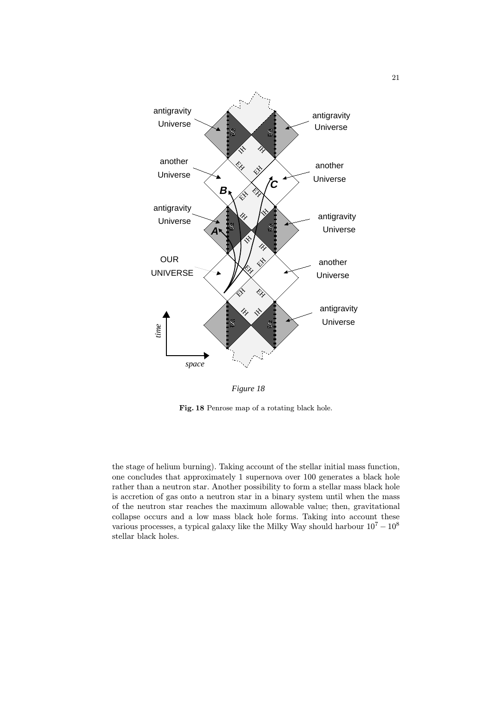

*Figure 18* 

Fig. 18 Penrose map of a rotating black hole.

the stage of helium burning). Taking account of the stellar initial mass function, one concludes that approximately 1 supernova over 100 generates a black hole rather than a neutron star. Another possibility to form a stellar mass black hole is accretion of gas onto a neutron star in a binary system until when the mass of the neutron star reaches the maximum allowable value; then, gravitational collapse occurs and a low mass black hole forms. Taking into account these various processes, a typical galaxy like the Milky Way should harbour  $10^7 - 10^8$ stellar black holes.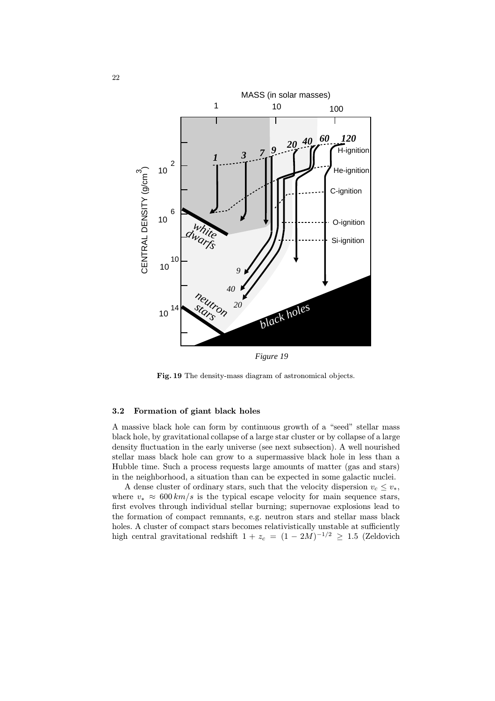

*Figure 19* 

Fig. 19 The density-mass diagram of astronomical objects.

### 3.2 Formation of giant black holes

A massive black hole can form by continuous growth of a "seed" stellar mass black hole, by gravitational collapse of a large star cluster or by collapse of a large density fluctuation in the early universe (see next subsection). A well nourished stellar mass black hole can grow to a supermassive black hole in less than a Hubble time. Such a process requests large amounts of matter (gas and stars) in the neighborhood, a situation than can be expected in some galactic nuclei.

A dense cluster of ordinary stars, such that the velocity dispersion  $v_c \le v_*,$ where  $v_* \approx 600 \, \text{km/s}$  is the typical escape velocity for main sequence stars, first evolves through individual stellar burning; supernovae explosions lead to the formation of compact remnants, e.g. neutron stars and stellar mass black holes. A cluster of compact stars becomes relativistically unstable at sufficiently high central gravitational redshift  $1 + z_c = (1 - 2M)^{-1/2} \geq 1.5$  (Zeldovich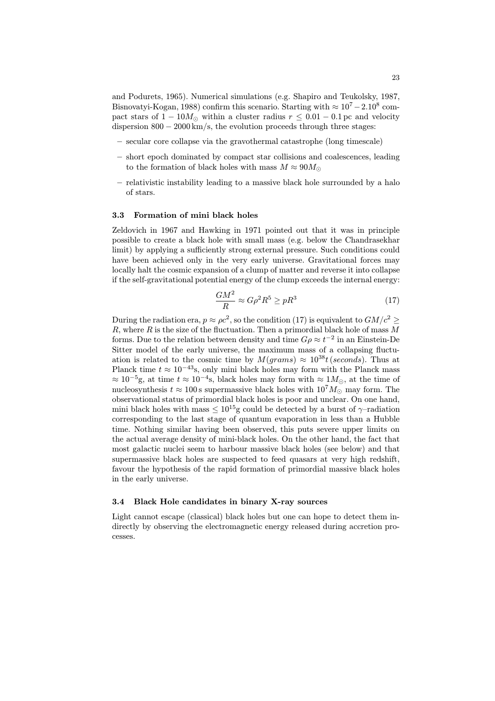and Podurets, 1965). Numerical simulations (e.g. Shapiro and Teukolsky, 1987, Bisnovatyi-Kogan, 1988) confirm this scenario. Starting with  $\approx 10^7 - 2.10^8$  compact stars of  $1 - 10M_{\odot}$  within a cluster radius  $r \leq 0.01 - 0.1$  pc and velocity dispersion  $800 - 2000 \,\mathrm{km/s}$ , the evolution proceeds through three stages:

- secular core collapse via the gravothermal catastrophe (long timescale)
- short epoch dominated by compact star collisions and coalescences, leading to the formation of black holes with mass  $M \approx 90 M_{\odot}$
- relativistic instability leading to a massive black hole surrounded by a halo of stars.

### 3.3 Formation of mini black holes

Zeldovich in 1967 and Hawking in 1971 pointed out that it was in principle possible to create a black hole with small mass (e.g. below the Chandrasekhar limit) by applying a sufficiently strong external pressure. Such conditions could have been achieved only in the very early universe. Gravitational forces may locally halt the cosmic expansion of a clump of matter and reverse it into collapse if the self-gravitational potential energy of the clump exceeds the internal energy:

$$
\frac{GM^2}{R} \approx G\rho^2 R^5 \ge pR^3 \tag{17}
$$

During the radiation era,  $p \approx \rho c^2$ , so the condition (17) is equivalent to  $GM/c^2$ R, where R is the size of the fluctuation. Then a primordial black hole of mass  $M$ forms. Due to the relation between density and time  $G\rho \approx t^{-2}$  in an Einstein-De Sitter model of the early universe, the maximum mass of a collapsing fluctuation is related to the cosmic time by  $M(qrams) \approx 10^{38}t(secons)$ . Thus at Planck time  $t \approx 10^{-43}$ s, only mini black holes may form with the Planck mass  $\approx 10^{-5}$ g, at time  $t \approx 10^{-4}$ s, black holes may form with  $\approx 1 M_{\odot}$ , at the time of nucleosynthesis  $t \approx 100$  s supermassive black holes with  $10^{7} M_{\odot}$  may form. The observational status of primordial black holes is poor and unclear. On one hand, mini black holes with mass  $\leq 10^{15}$ g could be detected by a burst of  $\gamma$ -radiation corresponding to the last stage of quantum evaporation in less than a Hubble time. Nothing similar having been observed, this puts severe upper limits on the actual average density of mini-black holes. On the other hand, the fact that most galactic nuclei seem to harbour massive black holes (see below) and that supermassive black holes are suspected to feed quasars at very high redshift, favour the hypothesis of the rapid formation of primordial massive black holes in the early universe.

#### 3.4 Black Hole candidates in binary X-ray sources

Light cannot escape (classical) black holes but one can hope to detect them indirectly by observing the electromagnetic energy released during accretion processes.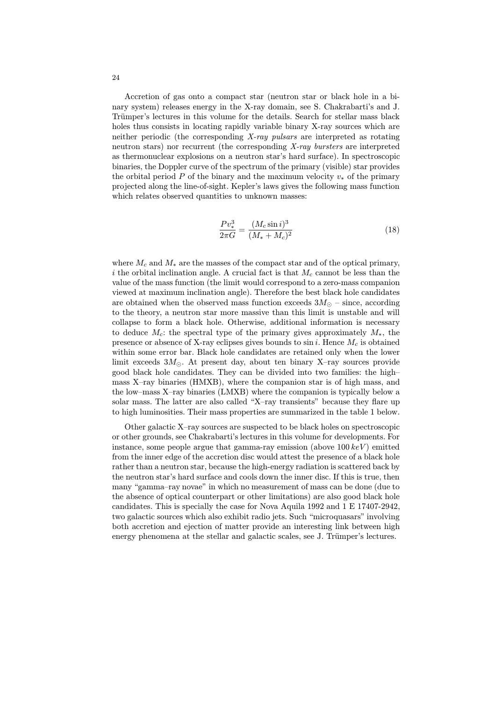Accretion of gas onto a compact star (neutron star or black hole in a binary system) releases energy in the X-ray domain, see S. Chakrabarti's and J. Trümper's lectures in this volume for the details. Search for stellar mass black holes thus consists in locating rapidly variable binary X-ray sources which are neither periodic (the corresponding  $X-ray$  pulsars are interpreted as rotating neutron stars) nor recurrent (the corresponding X-ray bursters are interpreted as thermonuclear explosions on a neutron star's hard surface). In spectroscopic binaries, the Doppler curve of the spectrum of the primary (visible) star provides the orbital period P of the binary and the maximum velocity  $v_*$  of the primary projected along the line-of-sight. Kepler's laws gives the following mass function which relates observed quantities to unknown masses:

$$
\frac{Pv_*^3}{2\pi G} = \frac{(M_c \sin i)^3}{(M_* + M_c)^2}
$$
(18)

where  $M_c$  and  $M_*$  are the masses of the compact star and of the optical primary, i the orbital inclination angle. A crucial fact is that  $M_c$  cannot be less than the value of the mass function (the limit would correspond to a zero-mass companion viewed at maximum inclination angle). Therefore the best black hole candidates are obtained when the observed mass function exceeds  $3M_{\odot}$  – since, according to the theory, a neutron star more massive than this limit is unstable and will collapse to form a black hole. Otherwise, additional information is necessary to deduce  $M_c$ : the spectral type of the primary gives approximately  $M_*$ , the presence or absence of X-ray eclipses gives bounds to  $\sin i$ . Hence  $M_c$  is obtained within some error bar. Black hole candidates are retained only when the lower limit exceeds  $3M_{\odot}$ . At present day, about ten binary X-ray sources provide good black hole candidates. They can be divided into two families: the high– mass X–ray binaries (HMXB), where the companion star is of high mass, and the low–mass X–ray binaries (LMXB) where the companion is typically below a solar mass. The latter are also called "X–ray transients" because they flare up to high luminosities. Their mass properties are summarized in the table 1 below.

Other galactic X–ray sources are suspected to be black holes on spectroscopic or other grounds, see Chakrabarti's lectures in this volume for developments. For instance, some people argue that gamma-ray emission (above  $100 \, keV$ ) emitted from the inner edge of the accretion disc would attest the presence of a black hole rather than a neutron star, because the high-energy radiation is scattered back by the neutron star's hard surface and cools down the inner disc. If this is true, then many "gamma–ray novae" in which no measurement of mass can be done (due to the absence of optical counterpart or other limitations) are also good black hole candidates. This is specially the case for Nova Aquila 1992 and 1 E 17407-2942, two galactic sources which also exhibit radio jets. Such "microquasars" involving both accretion and ejection of matter provide an interesting link between high energy phenomena at the stellar and galactic scales, see J. Trümper's lectures.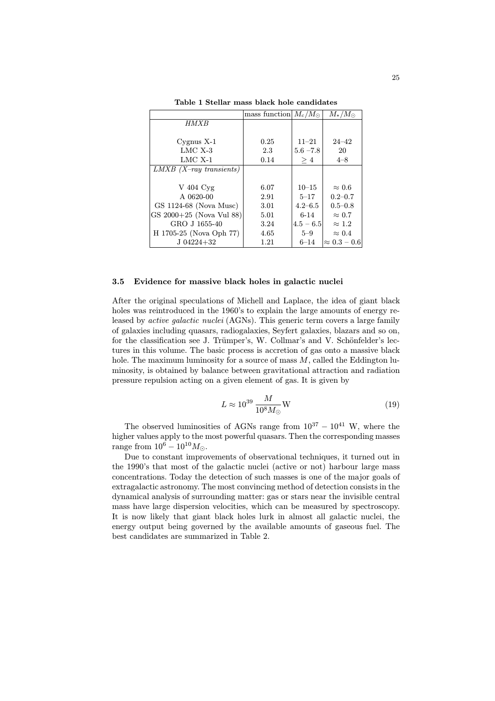|                                | mass function $M_c/M_{\odot}$ |             | $M_{\ast}/M_{\odot}$ |
|--------------------------------|-------------------------------|-------------|----------------------|
| <b>HMXB</b>                    |                               |             |                      |
|                                |                               |             |                      |
| $Cygnus X-1$                   | 0.25                          | $11 - 21$   | $24 - 42$            |
| $LMC$ X-3                      | 2.3                           | $5.6 - 7.8$ | 20                   |
| $LMC$ X-1                      | 0.14                          | >4          | $4 - 8$              |
| $LMXB$ (X-ray transients)      |                               |             |                      |
|                                |                               |             |                      |
| V $404 \text{ Cyg}$            | 6.07                          | $10 - 15$   | $\approx 0.6$        |
| $A$ 0620-00                    | 2.91                          | $5 - 17$    | $0.2 - 0.7$          |
| $GS$ 1124-68 (Nova Musc)       | 3.01                          | $4.2 - 6.5$ | $0.5 - 0.8$          |
| $GS\ 2000+25\ (Nova\ Vul\ 88)$ | 5.01                          | $6 - 14$    | $\approx 0.7$        |
| GRO J 1655-40                  | 3.24                          | $4.5 - 6.5$ | $\approx 1.2$        |
| H 1705-25 (Nova Oph 77)        | 4.65                          | $5 - 9$     | $\approx 0.4$        |
| $J$ 04224+32                   | 1.21                          | $6 - 14$    | $\approx 0.3-0.6$    |

Table 1 Stellar mass black hole candidates

### 3.5 Evidence for massive black holes in galactic nuclei

After the original speculations of Michell and Laplace, the idea of giant black holes was reintroduced in the 1960's to explain the large amounts of energy released by active galactic nuclei (AGNs). This generic term covers a large family of galaxies including quasars, radiogalaxies, Seyfert galaxies, blazars and so on, for the classification see J. Trümper's, W. Collmar's and V. Schönfelder's lectures in this volume. The basic process is accretion of gas onto a massive black hole. The maximum luminosity for a source of mass  $M$ , called the Eddington luminosity, is obtained by balance between gravitational attraction and radiation pressure repulsion acting on a given element of gas. It is given by

$$
L \approx 10^{39} \frac{M}{10^8 M_\odot} \text{W}
$$
 (19)

The observed luminosities of AGNs range from  $10^{37} - 10^{41}$  W, where the higher values apply to the most powerful quasars. Then the corresponding masses range from  $10^6 - 10^{10} M_{\odot}$ .

Due to constant improvements of observational techniques, it turned out in the 1990's that most of the galactic nuclei (active or not) harbour large mass concentrations. Today the detection of such masses is one of the major goals of extragalactic astronomy. The most convincing method of detection consists in the dynamical analysis of surrounding matter: gas or stars near the invisible central mass have large dispersion velocities, which can be measured by spectroscopy. It is now likely that giant black holes lurk in almost all galactic nuclei, the energy output being governed by the available amounts of gaseous fuel. The best candidates are summarized in Table 2.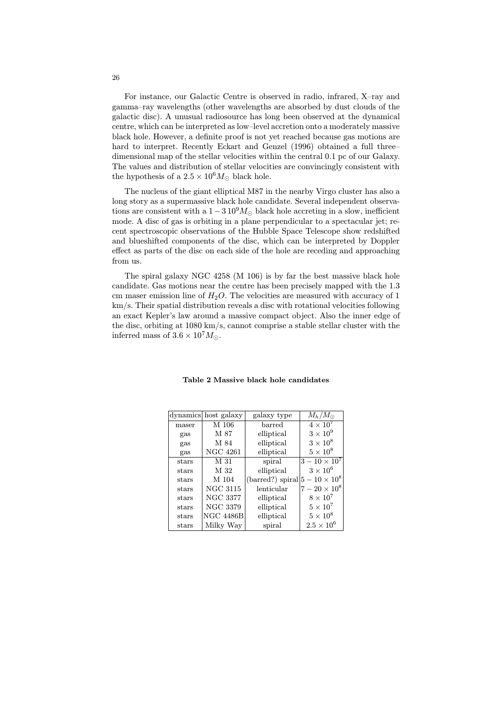For instance, our Galactic Centre is observed in radio, infrared, X–ray and gamma–ray wavelengths (other wavelengths are absorbed by dust clouds of the galactic disc). A unusual radiosource has long been observed at the dynamical centre, which can be interpreted as low–level accretion onto a moderately massive black hole. However, a definite proof is not yet reached because gas motions are hard to interpret. Recently Eckart and Genzel (1996) obtained a full three– dimensional map of the stellar velocities within the central 0.1 pc of our Galaxy. The values and distribution of stellar velocities are convincingly consistent with the hypothesis of a  $2.5\times 10^6 M_\odot$  black hole.

The nucleus of the giant elliptical M87 in the nearby Virgo cluster has also a long story as a supermassive black hole candidate. Several independent observations are consistent with a  $1-310^9M_{\odot}$  black hole accreting in a slow, inefficient mode. A disc of gas is orbiting in a plane perpendicular to a spectacular jet; recent spectroscopic observations of the Hubble Space Telescope show redshifted and blueshifted components of the disc, which can be interpreted by Doppler effect as parts of the disc on each side of the hole are receding and approaching from us.

The spiral galaxy NGC 4258 (M 106) is by far the best massive black hole candidate. Gas motions near the centre has been precisely mapped with the 1.3 cm maser emission line of  $H<sub>2</sub>O$ . The velocities are measured with accuracy of 1 km/s. Their spatial distribution reveals a disc with rotational velocities following an exact Kepler's law around a massive compact object. Also the inner edge of the disc, orbiting at 1080 km/s, cannot comprise a stable stellar cluster with the inferred mass of  $3.6 \times 10^7 M_{\odot}$ .

|                | dynamics host galaxy | galaxy type                         | $M_h/M_\odot$        |
|----------------|----------------------|-------------------------------------|----------------------|
| maser          | M 106                | barred                              | $4\times10^7$        |
| gas            | M 87                 | elliptical                          | $3\times10^9$        |
| gas            | M 84                 | elliptical                          | $3\times10^8$        |
| gas            | NGC 4261             | elliptical                          | $5\times10^8$        |
| stars          | M 31                 | spiral                              | $3 - 10 \times 10^7$ |
| stars          | M 32                 | elliptical                          | $3\times10^6$        |
| stars          | M 104                | (barred?) spiral $5-10 \times 10^8$ |                      |
| stars          | <b>NGC 3115</b>      | lenticular                          | $7 - 20 \times 10^8$ |
| stars          | NGC 3377             | elliptical                          | $8\times10^7$        |
| $_{\rm stars}$ | NGC 3379             | elliptical                          | $5\times10^7$        |
| stars          | <b>NGC 4486B</b>     | elliptical                          | $5\times10^8$        |
| $_{\rm stars}$ | Milky Way            | spiral                              | $2.5 \times 10^{6}$  |

Table 2 Massive black hole candidates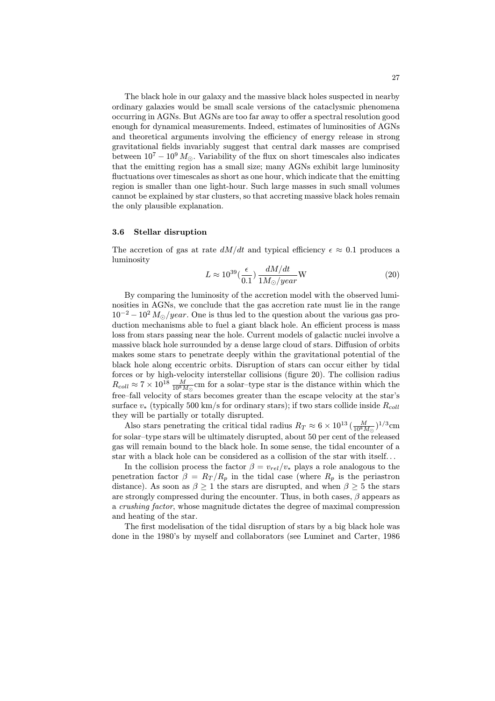The black hole in our galaxy and the massive black holes suspected in nearby ordinary galaxies would be small scale versions of the cataclysmic phenomena occurring in AGNs. But AGNs are too far away to offer a spectral resolution good enough for dynamical measurements. Indeed, estimates of luminosities of AGNs and theoretical arguments involving the efficiency of energy release in strong gravitational fields invariably suggest that central dark masses are comprised between  $10^7 - 10^9 M_{\odot}$ . Variability of the flux on short timescales also indicates that the emitting region has a small size; many AGNs exhibit large luminosity fluctuations over timescales as short as one hour, which indicate that the emitting region is smaller than one light-hour. Such large masses in such small volumes cannot be explained by star clusters, so that accreting massive black holes remain the only plausible explanation.

#### 3.6 Stellar disruption

The accretion of gas at rate  $dM/dt$  and typical efficiency  $\epsilon \approx 0.1$  produces a luminosity

$$
L \approx 10^{39} \left(\frac{\epsilon}{0.1}\right) \frac{dM/dt}{1M_{\odot}/year} \text{W}
$$
 (20)

By comparing the luminosity of the accretion model with the observed luminosities in AGNs, we conclude that the gas accretion rate must lie in the range  $10^{-2} - 10^{2} M_{\odot}/year$ . One is thus led to the question about the various gas production mechanisms able to fuel a giant black hole. An efficient process is mass loss from stars passing near the hole. Current models of galactic nuclei involve a massive black hole surrounded by a dense large cloud of stars. Diffusion of orbits makes some stars to penetrate deeply within the gravitational potential of the black hole along eccentric orbits. Disruption of stars can occur either by tidal forces or by high-velocity interstellar collisions (figure 20). The collision radius  $R_{coll} \approx 7 \times 10^{18} \frac{M}{10^8 M_{\odot}}$  cm for a solar-type star is the distance within which the free–fall velocity of stars becomes greater than the escape velocity at the star's surface  $v_*$  (typically 500 km/s for ordinary stars); if two stars collide inside  $R_{coll}$ they will be partially or totally disrupted.

Also stars penetrating the critical tidal radius  $R_T \approx 6 \times 10^{13} \left(\frac{M}{10^8 M_{\odot}}\right)^{1/3}$ cm for solar–type stars will be ultimately disrupted, about 50 per cent of the released gas will remain bound to the black hole. In some sense, the tidal encounter of a star with a black hole can be considered as a collision of the star with itself. . .

In the collision process the factor  $\beta = v_{rel}/v_*$  plays a role analogous to the penetration factor  $\beta = R_T/R_p$  in the tidal case (where  $R_p$  is the periastron distance). As soon as  $\beta \geq 1$  the stars are disrupted, and when  $\beta \geq 5$  the stars are strongly compressed during the encounter. Thus, in both cases,  $\beta$  appears as a crushing factor, whose magnitude dictates the degree of maximal compression and heating of the star.

The first modelisation of the tidal disruption of stars by a big black hole was done in the 1980's by myself and collaborators (see Luminet and Carter, 1986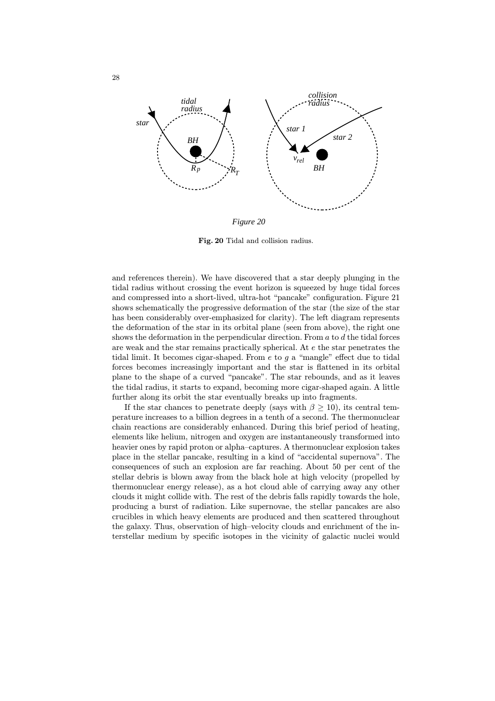

Fig. 20 Tidal and collision radius.

and references therein). We have discovered that a star deeply plunging in the tidal radius without crossing the event horizon is squeezed by huge tidal forces and compressed into a short-lived, ultra-hot "pancake" configuration. Figure 21 shows schematically the progressive deformation of the star (the size of the star has been considerably over-emphasized for clarity). The left diagram represents the deformation of the star in its orbital plane (seen from above), the right one shows the deformation in the perpendicular direction. From  $a$  to  $d$  the tidal forces are weak and the star remains practically spherical. At e the star penetrates the tidal limit. It becomes cigar-shaped. From  $e$  to  $q$  a "mangle" effect due to tidal forces becomes increasingly important and the star is flattened in its orbital plane to the shape of a curved "pancake". The star rebounds, and as it leaves the tidal radius, it starts to expand, becoming more cigar-shaped again. A little further along its orbit the star eventually breaks up into fragments.

If the star chances to penetrate deeply (says with  $\beta \geq 10$ ), its central temperature increases to a billion degrees in a tenth of a second. The thermonuclear chain reactions are considerably enhanced. During this brief period of heating, elements like helium, nitrogen and oxygen are instantaneously transformed into heavier ones by rapid proton or alpha–captures. A thermonuclear explosion takes place in the stellar pancake, resulting in a kind of "accidental supernova". The consequences of such an explosion are far reaching. About 50 per cent of the stellar debris is blown away from the black hole at high velocity (propelled by thermonuclear energy release), as a hot cloud able of carrying away any other clouds it might collide with. The rest of the debris falls rapidly towards the hole, producing a burst of radiation. Like supernovae, the stellar pancakes are also crucibles in which heavy elements are produced and then scattered throughout the galaxy. Thus, observation of high–velocity clouds and enrichment of the interstellar medium by specific isotopes in the vicinity of galactic nuclei would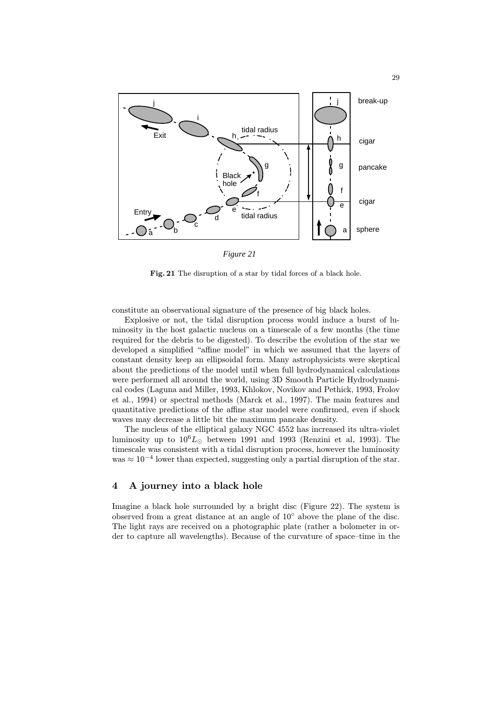

*Figure 21* 

Fig. 21 The disruption of a star by tidal forces of a black hole.

constitute an observational signature of the presence of big black holes.

Explosive or not, the tidal disruption process would induce a burst of luminosity in the host galactic nucleus on a timescale of a few months (the time required for the debris to be digested). To describe the evolution of the star we developed a simplified "affine model" in which we assumed that the layers of constant density keep an ellipsoidal form. Many astrophysicists were skeptical about the predictions of the model until when full hydrodynamical calculations were performed all around the world, using 3D Smooth Particle Hydrodynamical codes (Laguna and Miller, 1993, Khlokov, Novikov and Pethick, 1993, Frolov et al., 1994) or spectral methods (Marck et al., 1997). The main features and quantitative predictions of the affine star model were confirmed, even if shock waves may decrease a little bit the maximum pancake density.

The nucleus of the elliptical galaxy NGC 4552 has increased its ultra-violet luminosity up to  $10^6L_{\odot}$  between 1991 and 1993 (Renzini et al, 1993). The timescale was consistent with a tidal disruption process, however the luminosity was  $\approx 10^{-4}$  lower than expected, suggesting only a partial disruption of the star.

# 4 A journey into a black hole

Imagine a black hole surrounded by a bright disc (Figure 22). The system is observed from a great distance at an angle of 10◦ above the plane of the disc. The light rays are received on a photographic plate (rather a bolometer in order to capture all wavelengths). Because of the curvature of space–time in the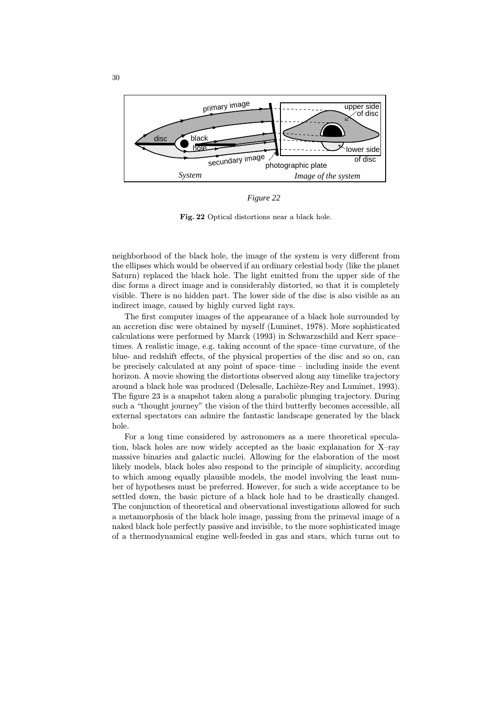

*Figure 22* 

Fig. 22 Optical distortions near a black hole.

neighborhood of the black hole, the image of the system is very different from the ellipses which would be observed if an ordinary celestial body (like the planet Saturn) replaced the black hole. The light emitted from the upper side of the disc forms a direct image and is considerably distorted, so that it is completely visible. There is no hidden part. The lower side of the disc is also visible as an indirect image, caused by highly curved light rays.

The first computer images of the appearance of a black hole surrounded by an accretion disc were obtained by myself (Luminet, 1978). More sophisticated calculations were performed by Marck (1993) in Schwarzschild and Kerr space– times. A realistic image, e.g. taking account of the space–time curvature, of the blue- and redshift effects, of the physical properties of the disc and so on, can be precisely calculated at any point of space–time – including inside the event horizon. A movie showing the distortions observed along any timelike trajectory around a black hole was produced (Delesalle, Lachièze-Rey and Luminet, 1993). The figure 23 is a snapshot taken along a parabolic plunging trajectory. During such a "thought journey" the vision of the third butterfly becomes accessible, all external spectators can admire the fantastic landscape generated by the black hole.

For a long time considered by astronomers as a mere theoretical speculation, black holes are now widely accepted as the basic explanation for X–ray massive binaries and galactic nuclei. Allowing for the elaboration of the most likely models, black holes also respond to the principle of simplicity, according to which among equally plausible models, the model involving the least number of hypotheses must be preferred. However, for such a wide acceptance to be settled down, the basic picture of a black hole had to be drastically changed. The conjunction of theoretical and observational investigations allowed for such a metamorphosis of the black hole image, passing from the primeval image of a naked black hole perfectly passive and invisible, to the more sophisticated image of a thermodynamical engine well-feeded in gas and stars, which turns out to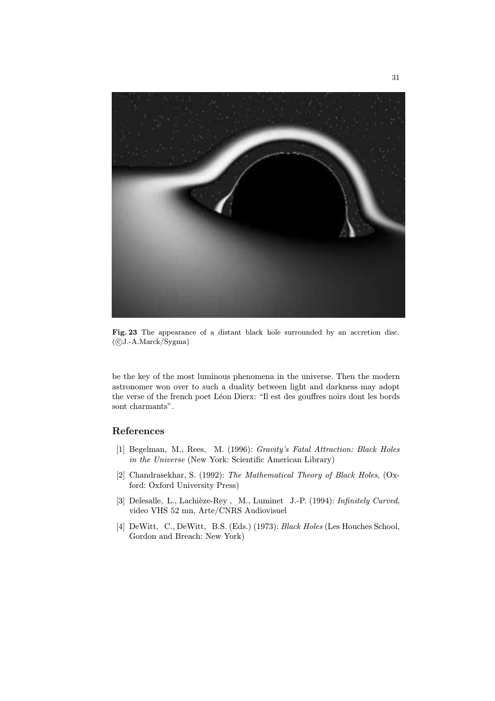

Fig. 23 The appearance of a distant black hole surrounded by an accretion disc.  $(CJ.-A.Marck/Sygma)$ 

be the key of the most luminous phenomena in the universe. Then the modern astronomer won over to such a duality between light and darkness may adopt the verse of the french poet Léon Dierx: "Il est des gouffres noirs dont les bords sont charmants".

# References

- [1] Begelman, M., Rees, M. (1996): Gravity's Fatal Attraction: Black Holes in the Universe (New York: Scientific American Library)
- [2] Chandrasekhar, S. (1992): The Mathematical Theory of Black Holes, (Oxford: Oxford University Press)
- [3] Delesalle, L., Lachièze-Rey , M., Luminet J.-P. (1994): Infinitely Curved, video VHS 52 mn, Arte/CNRS Audiovisuel
- [4] DeWitt, C., DeWitt, B.S. (Eds.) (1973): Black Holes (Les Houches School, Gordon and Breach: New York)